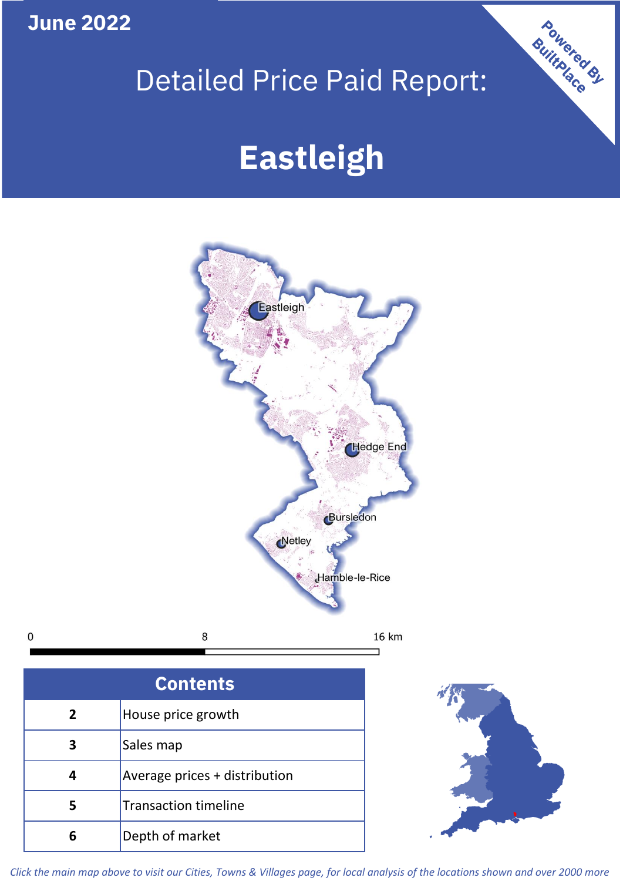**June 2022**

 $\mathbf 0$ 

# Detailed Price Paid Report:

# **Eastleigh**



| <b>Contents</b> |                               |  |  |
|-----------------|-------------------------------|--|--|
| $\overline{2}$  | House price growth            |  |  |
| 3               | Sales map                     |  |  |
|                 | Average prices + distribution |  |  |
| 5               | <b>Transaction timeline</b>   |  |  |
|                 | Depth of market               |  |  |



Powered By

*Click the main map above to visit our Cities, Towns & Villages page, for local analysis of the locations shown and over 2000 more*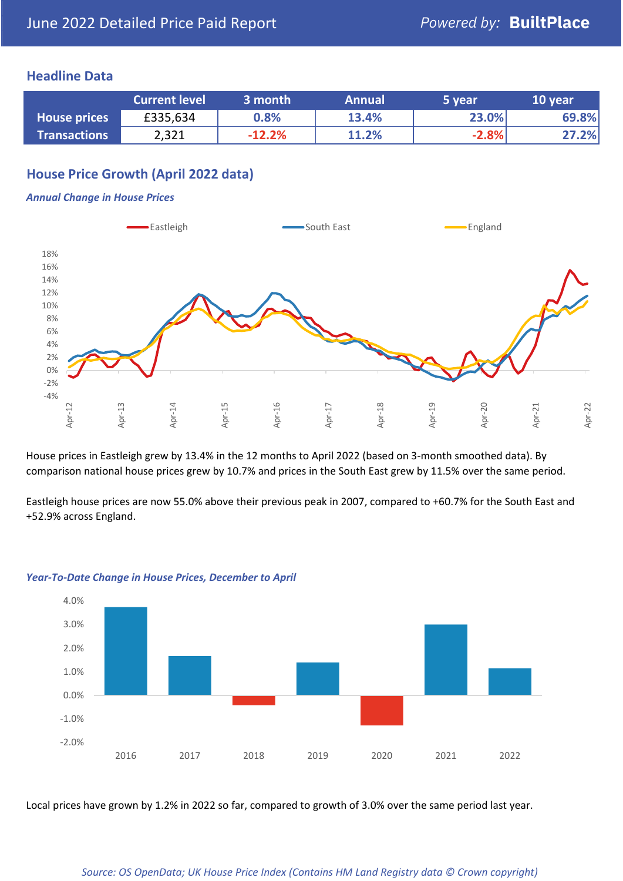### **Headline Data**

|                     | <b>Current level</b> | 3 month  | <b>Annual</b> | 5 year  | 10 year |
|---------------------|----------------------|----------|---------------|---------|---------|
| <b>House prices</b> | £335,634             | 0.8%     | 13.4%         | 23.0%   | 69.8%   |
| <b>Transactions</b> | 2,321                | $-12.2%$ | 11.2%         | $-2.8%$ | 27.2%   |

## **House Price Growth (April 2022 data)**

#### *Annual Change in House Prices*



House prices in Eastleigh grew by 13.4% in the 12 months to April 2022 (based on 3-month smoothed data). By comparison national house prices grew by 10.7% and prices in the South East grew by 11.5% over the same period.

Eastleigh house prices are now 55.0% above their previous peak in 2007, compared to +60.7% for the South East and +52.9% across England.



#### *Year-To-Date Change in House Prices, December to April*

Local prices have grown by 1.2% in 2022 so far, compared to growth of 3.0% over the same period last year.

#### *Source: OS OpenData; UK House Price Index (Contains HM Land Registry data © Crown copyright)*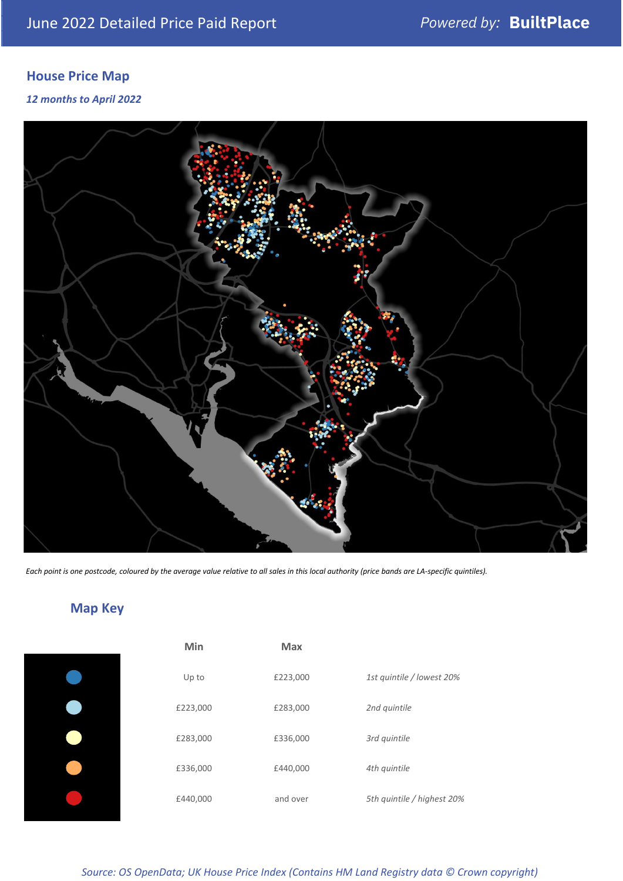# **House Price Map**

*12 months to April 2022*



*Each point is one postcode, coloured by the average value relative to all sales in this local authority (price bands are LA-specific quintiles).*

# **Map Key**

| Min      | <b>Max</b> |                            |
|----------|------------|----------------------------|
| Up to    | £223,000   | 1st quintile / lowest 20%  |
| £223,000 | £283,000   | 2nd quintile               |
| £283,000 | £336,000   | 3rd quintile               |
| £336,000 | £440,000   | 4th quintile               |
| £440,000 | and over   | 5th quintile / highest 20% |

*Source: OS OpenData; UK House Price Index (Contains HM Land Registry data © Crown copyright)*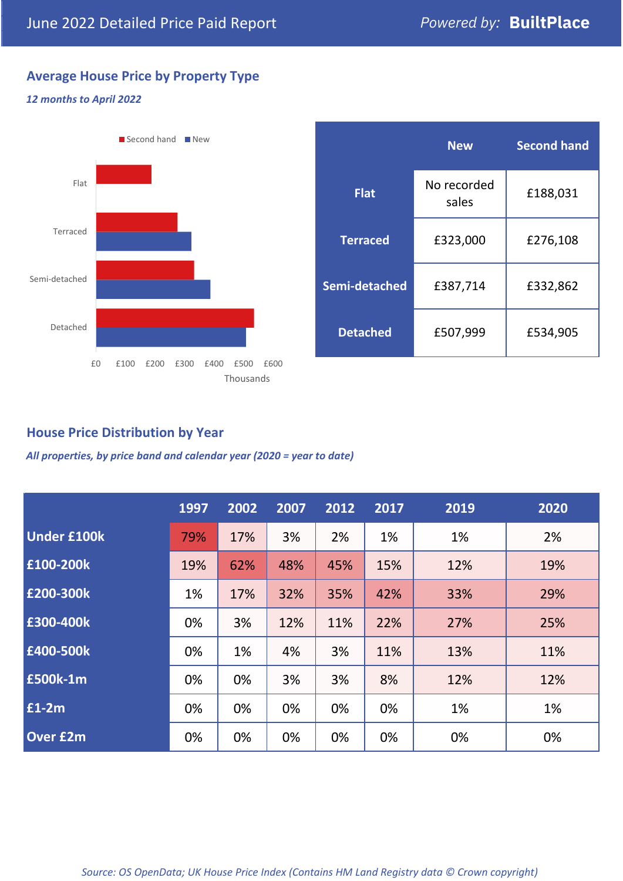# **Average House Price by Property Type**

## *12 months to April 2022*



|                 | <b>New</b>           | <b>Second hand</b> |  |
|-----------------|----------------------|--------------------|--|
| <b>Flat</b>     | No recorded<br>sales | £188,031           |  |
| <b>Terraced</b> | £323,000             | £276,108           |  |
| Semi-detached   | £387,714             | £332,862           |  |
| <b>Detached</b> | £507,999             | £534,905           |  |

## **House Price Distribution by Year**

*All properties, by price band and calendar year (2020 = year to date)*

|                    | 1997 | 2002 | 2007 | 2012 | 2017 | 2019 | 2020 |
|--------------------|------|------|------|------|------|------|------|
| <b>Under £100k</b> | 79%  | 17%  | 3%   | 2%   | 1%   | 1%   | 2%   |
| £100-200k          | 19%  | 62%  | 48%  | 45%  | 15%  | 12%  | 19%  |
| E200-300k          | 1%   | 17%  | 32%  | 35%  | 42%  | 33%  | 29%  |
| £300-400k          | 0%   | 3%   | 12%  | 11%  | 22%  | 27%  | 25%  |
| £400-500k          | 0%   | 1%   | 4%   | 3%   | 11%  | 13%  | 11%  |
| £500k-1m           | 0%   | 0%   | 3%   | 3%   | 8%   | 12%  | 12%  |
| £1-2m              | 0%   | 0%   | 0%   | 0%   | 0%   | 1%   | 1%   |
| <b>Over £2m</b>    | 0%   | 0%   | 0%   | 0%   | 0%   | 0%   | 0%   |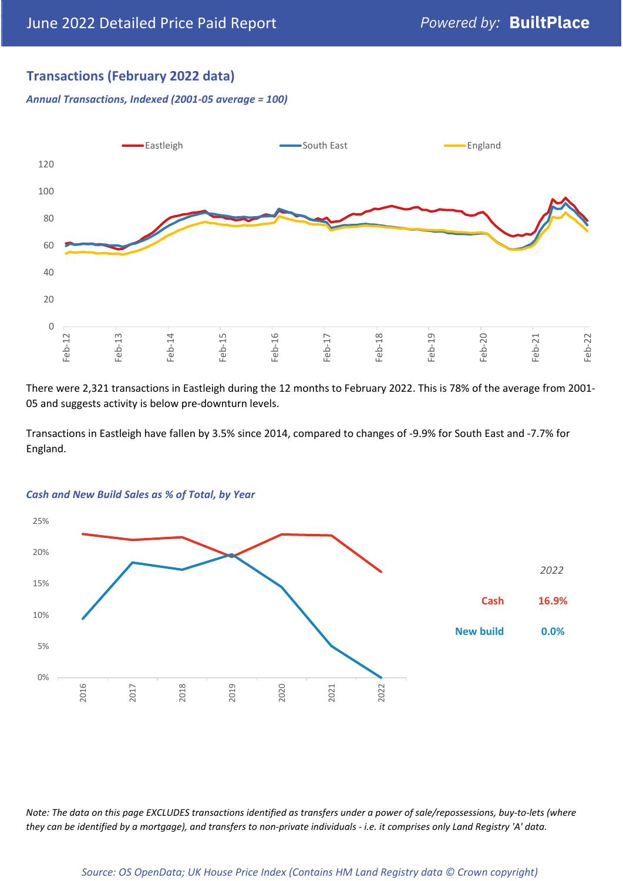## **Transactions (February 2022 data)**

*Annual Transactions, Indexed (2001-05 average = 100)*



There were 2,321 transactions in Eastleigh during the 12 months to February 2022. This is 78% of the average from 2001- 05 and suggests activity is below pre-downturn levels.

Transactions in Eastleigh have fallen by 3.5% since 2014, compared to changes of -9.9% for South East and -7.7% for England.



#### *Cash and New Build Sales as % of Total, by Year*

*Note: The data on this page EXCLUDES transactions identified as transfers under a power of sale/repossessions, buy-to-lets (where they can be identified by a mortgage), and transfers to non-private individuals - i.e. it comprises only Land Registry 'A' data.*